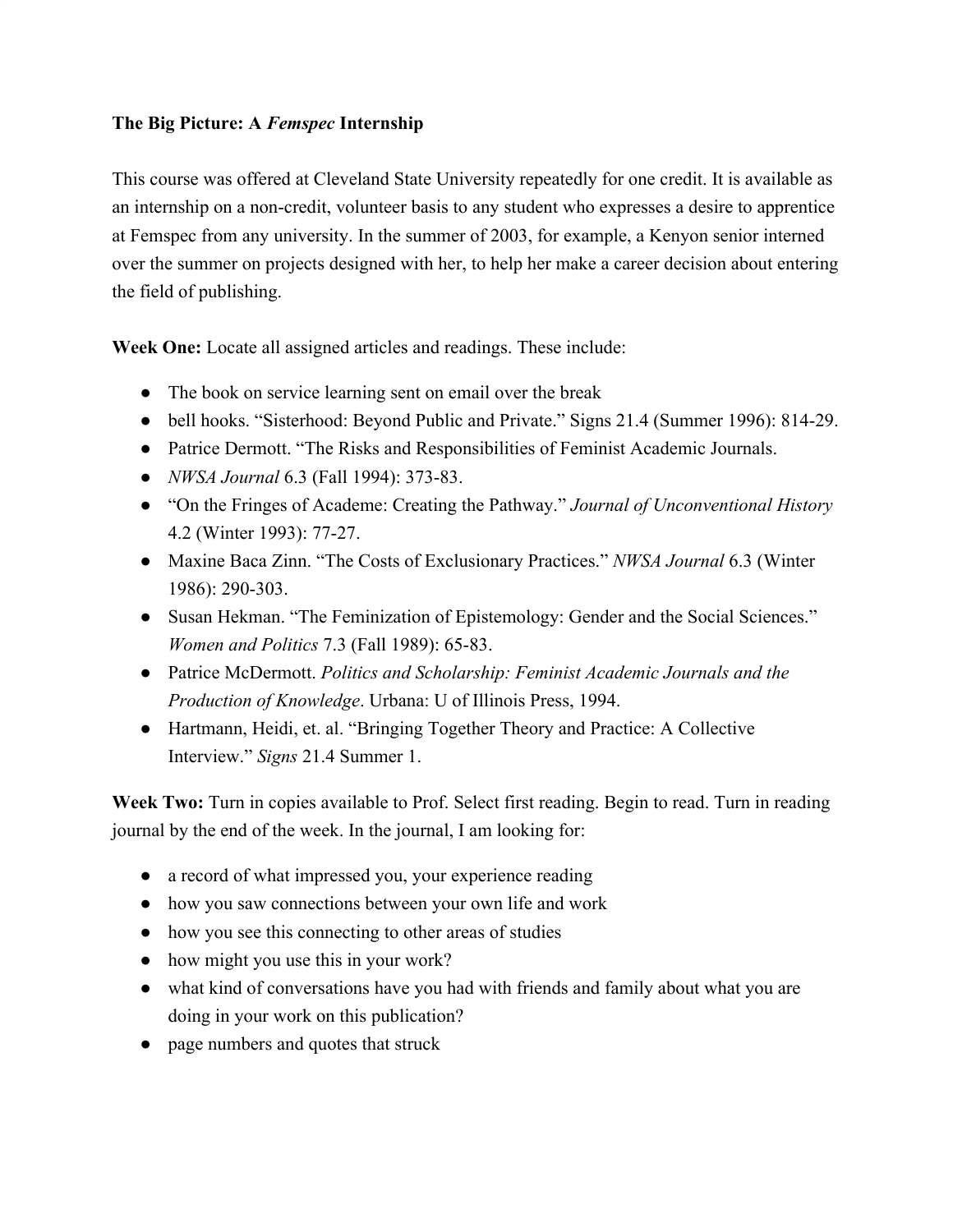## **The Big Picture: A** *Femspec* **Internship**

This course was offered at Cleveland State University repeatedly for one credit. It is available as an internship on a non-credit, volunteer basis to any student who expresses a desire to apprentice at Femspec from any university. In the summer of 2003, for example, a Kenyon senior interned over the summer on projects designed with her, to help her make a career decision about entering the field of publishing.

**Week One:** Locate all assigned articles and readings. These include:

- The book on service learning sent on email over the break
- bell hooks. "Sisterhood: Beyond Public and Private." Signs 21.4 (Summer 1996): 814-29.
- Patrice Dermott. "The Risks and Responsibilities of Feminist Academic Journals.
- *NWSA Journal* 6.3 (Fall 1994): 373-83.
- "On the Fringes of Academe: Creating the Pathway." *Journal of Unconventional History* 4.2 (Winter 1993): 77-27.
- Maxine Baca Zinn. "The Costs of Exclusionary Practices." *NWSA Journal* 6.3 (Winter 1986): 290-303.
- Susan Hekman. "The Feminization of Epistemology: Gender and the Social Sciences." *Women and Politics* 7.3 (Fall 1989): 65-83.
- Patrice McDermott. *Politics and Scholarship: Feminist Academic Journals and the Production of Knowledge*. Urbana: U of Illinois Press, 1994.
- Hartmann, Heidi, et. al. "Bringing Together Theory and Practice: A Collective Interview." *Signs* 21.4 Summer 1.

**Week Two:** Turn in copies available to Prof. Select first reading. Begin to read. Turn in reading journal by the end of the week. In the journal, I am looking for:

- a record of what impressed you, your experience reading
- how you saw connections between your own life and work
- how you see this connecting to other areas of studies
- how might you use this in your work?
- what kind of conversations have you had with friends and family about what you are doing in your work on this publication?
- page numbers and quotes that struck